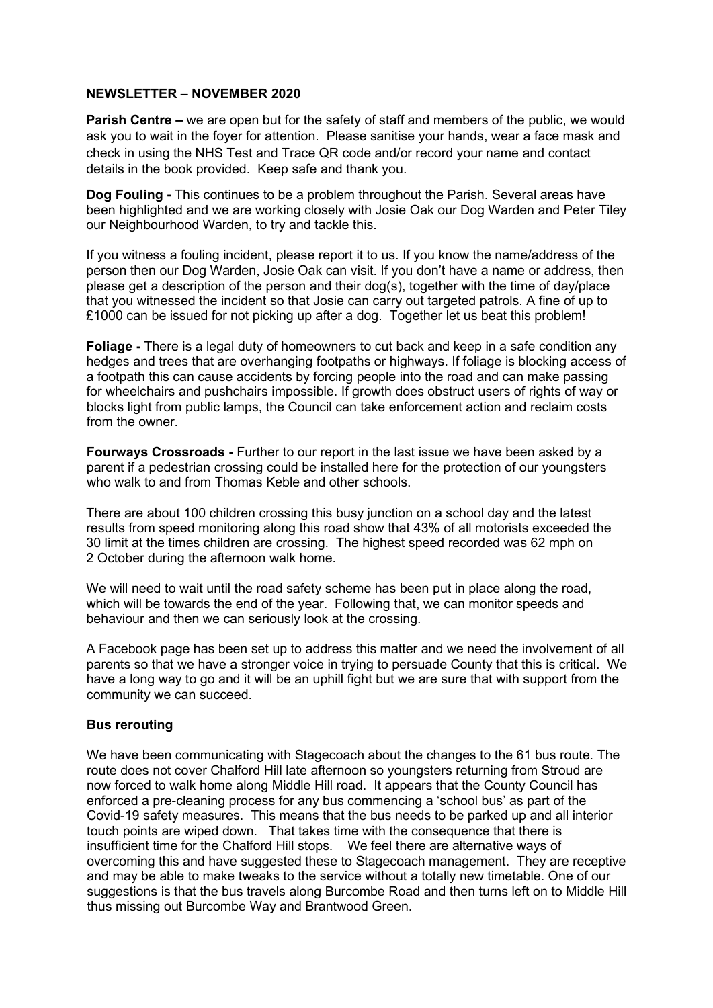## **NEWSLETTER – NOVEMBER 2020**

**Parish Centre –** we are open but for the safety of staff and members of the public, we would ask you to wait in the foyer for attention. Please sanitise your hands, wear a face mask and check in using the NHS Test and Trace QR code and/or record your name and contact details in the book provided. Keep safe and thank you.

**Dog Fouling -** This continues to be a problem throughout the Parish. Several areas have been highlighted and we are working closely with Josie Oak our Dog Warden and Peter Tiley our Neighbourhood Warden, to try and tackle this.

If you witness a fouling incident, please report it to us. If you know the name/address of the person then our Dog Warden, Josie Oak can visit. If you don't have a name or address, then please get a description of the person and their dog(s), together with the time of day/place that you witnessed the incident so that Josie can carry out targeted patrols. A fine of up to £1000 can be issued for not picking up after a dog. Together let us beat this problem!

**Foliage -** There is a legal duty of homeowners to cut back and keep in a safe condition any hedges and trees that are overhanging footpaths or highways. If foliage is blocking access of a footpath this can cause accidents by forcing people into the road and can make passing for wheelchairs and pushchairs impossible. If growth does obstruct users of rights of way or blocks light from public lamps, the Council can take enforcement action and reclaim costs from the owner.

**Fourways Crossroads -** Further to our report in the last issue we have been asked by a parent if a pedestrian crossing could be installed here for the protection of our youngsters who walk to and from Thomas Keble and other schools.

There are about 100 children crossing this busy junction on a school day and the latest results from speed monitoring along this road show that 43% of all motorists exceeded the 30 limit at the times children are crossing. The highest speed recorded was 62 mph on 2 October during the afternoon walk home.

We will need to wait until the road safety scheme has been put in place along the road, which will be towards the end of the year. Following that, we can monitor speeds and behaviour and then we can seriously look at the crossing.

A Facebook page has been set up to address this matter and we need the involvement of all parents so that we have a stronger voice in trying to persuade County that this is critical. We have a long way to go and it will be an uphill fight but we are sure that with support from the community we can succeed.

## **Bus rerouting**

We have been communicating with Stagecoach about the changes to the 61 bus route. The route does not cover Chalford Hill late afternoon so youngsters returning from Stroud are now forced to walk home along Middle Hill road. It appears that the County Council has enforced a pre-cleaning process for any bus commencing a 'school bus' as part of the Covid-19 safety measures. This means that the bus needs to be parked up and all interior touch points are wiped down. That takes time with the consequence that there is insufficient time for the Chalford Hill stops. We feel there are alternative ways of overcoming this and have suggested these to Stagecoach management. They are receptive and may be able to make tweaks to the service without a totally new timetable. One of our suggestions is that the bus travels along Burcombe Road and then turns left on to Middle Hill thus missing out Burcombe Way and Brantwood Green.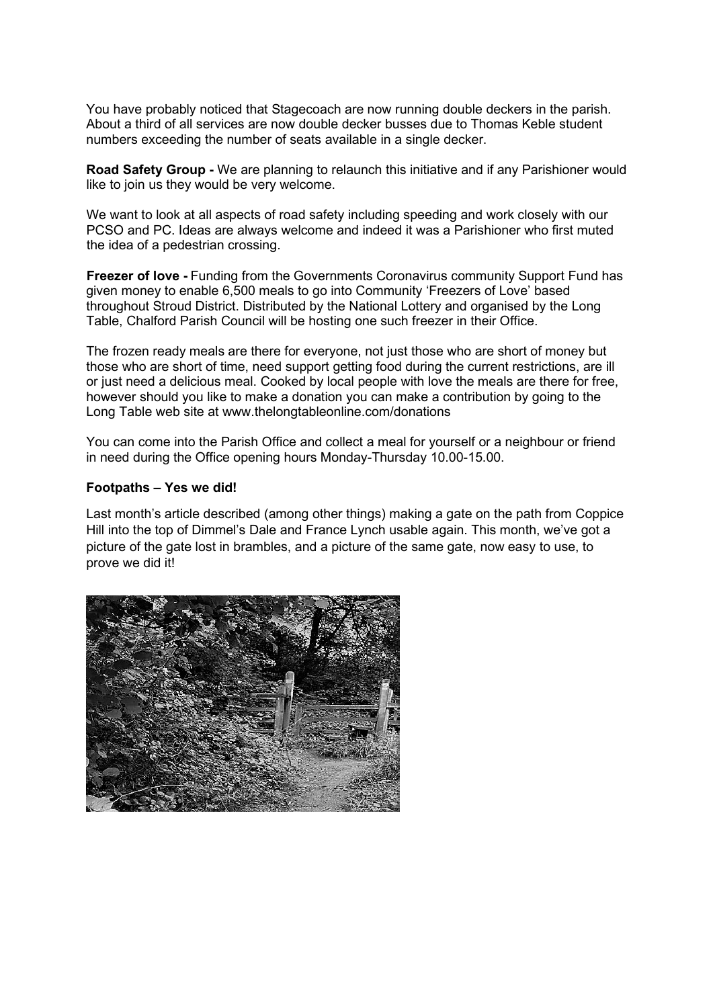You have probably noticed that Stagecoach are now running double deckers in the parish. About a third of all services are now double decker busses due to Thomas Keble student numbers exceeding the number of seats available in a single decker.

**Road Safety Group -** We are planning to relaunch this initiative and if any Parishioner would like to join us they would be very welcome.

We want to look at all aspects of road safety including speeding and work closely with our PCSO and PC. Ideas are always welcome and indeed it was a Parishioner who first muted the idea of a pedestrian crossing.

**Freezer of love -** Funding from the Governments Coronavirus community Support Fund has given money to enable 6,500 meals to go into Community 'Freezers of Love' based throughout Stroud District. Distributed by the National Lottery and organised by the Long Table, Chalford Parish Council will be hosting one such freezer in their Office.

The frozen ready meals are there for everyone, not just those who are short of money but those who are short of time, need support getting food during the current restrictions, are ill or just need a delicious meal. Cooked by local people with love the meals are there for free, however should you like to make a donation you can make a contribution by going to the Long Table web site at www.thelongtableonline.com/donations

You can come into the Parish Office and collect a meal for yourself or a neighbour or friend in need during the Office opening hours Monday-Thursday 10.00-15.00.

## **Footpaths – Yes we did!**

Last month's article described (among other things) making a gate on the path from Coppice Hill into the top of Dimmel's Dale and France Lynch usable again. This month, we've got a picture of the gate lost in brambles, and a picture of the same gate, now easy to use, to prove we did it!